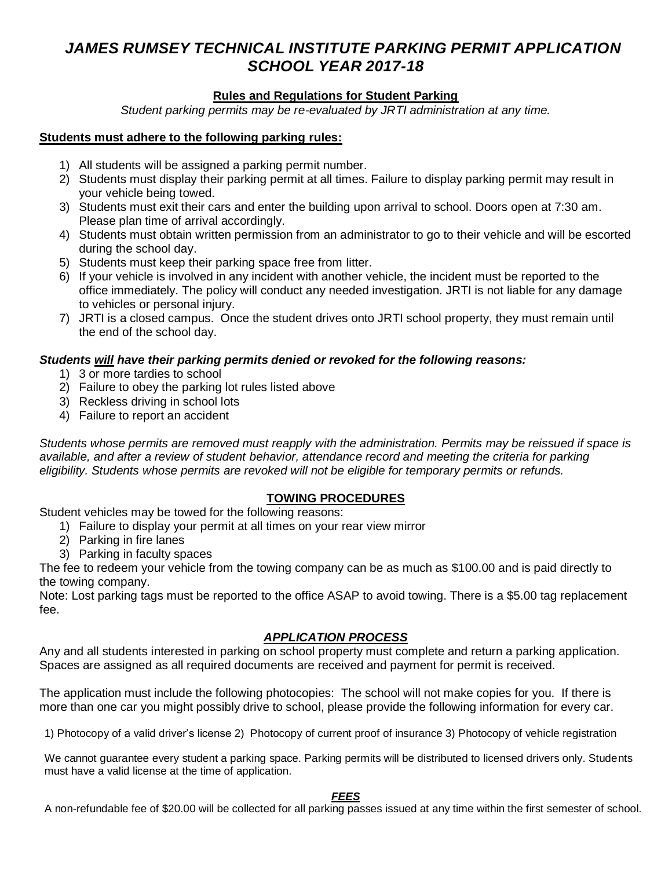# *JAMES RUMSEY TECHNICAL INSTITUTE PARKING PERMIT APPLICATION SCHOOL YEAR 2017-18*

## **Rules and Regulations for Student Parking**

*Student parking permits may be re-evaluated by JRTI administration at any time.*

#### **Students must adhere to the following parking rules:**

- 1) All students will be assigned a parking permit number.
- 2) Students must display their parking permit at all times. Failure to display parking permit may result in your vehicle being towed.
- 3) Students must exit their cars and enter the building upon arrival to school. Doors open at 7:30 am. Please plan time of arrival accordingly.
- 4) Students must obtain written permission from an administrator to go to their vehicle and will be escorted during the school day.
- 5) Students must keep their parking space free from litter.
- 6) If your vehicle is involved in any incident with another vehicle, the incident must be reported to the office immediately. The policy will conduct any needed investigation. JRTI is not liable for any damage to vehicles or personal injury.
- 7) JRTI is a closed campus. Once the student drives onto JRTI school property, they must remain until the end of the school day.

## *Students will have their parking permits denied or revoked for the following reasons:*

- 1) 3 or more tardies to school
- 2) Failure to obey the parking lot rules listed above
- 3) Reckless driving in school lots
- 4) Failure to report an accident

*Students whose permits are removed must reapply with the administration. Permits may be reissued if space is available, and after a review of student behavior, attendance record and meeting the criteria for parking eligibility. Students whose permits are revoked will not be eligible for temporary permits or refunds.*

### **TOWING PROCEDURES**

Student vehicles may be towed for the following reasons:

- 1) Failure to display your permit at all times on your rear view mirror
- 2) Parking in fire lanes
- 3) Parking in faculty spaces

The fee to redeem your vehicle from the towing company can be as much as \$100.00 and is paid directly to the towing company.

Note: Lost parking tags must be reported to the office ASAP to avoid towing. There is a \$5.00 tag replacement fee.

### *APPLICATION PROCESS*

Any and all students interested in parking on school property must complete and return a parking application. Spaces are assigned as all required documents are received and payment for permit is received.

The application must include the following photocopies: The school will not make copies for you. If there is more than one car you might possibly drive to school, please provide the following information for every car.

1) Photocopy of a valid driver's license 2) Photocopy of current proof of insurance 3) Photocopy of vehicle registration

We cannot guarantee every student a parking space. Parking permits will be distributed to licensed drivers only. Students must have a valid license at the time of application.

#### *FEES*

A non-refundable fee of \$20.00 will be collected for all parking passes issued at any time within the first semester of school.